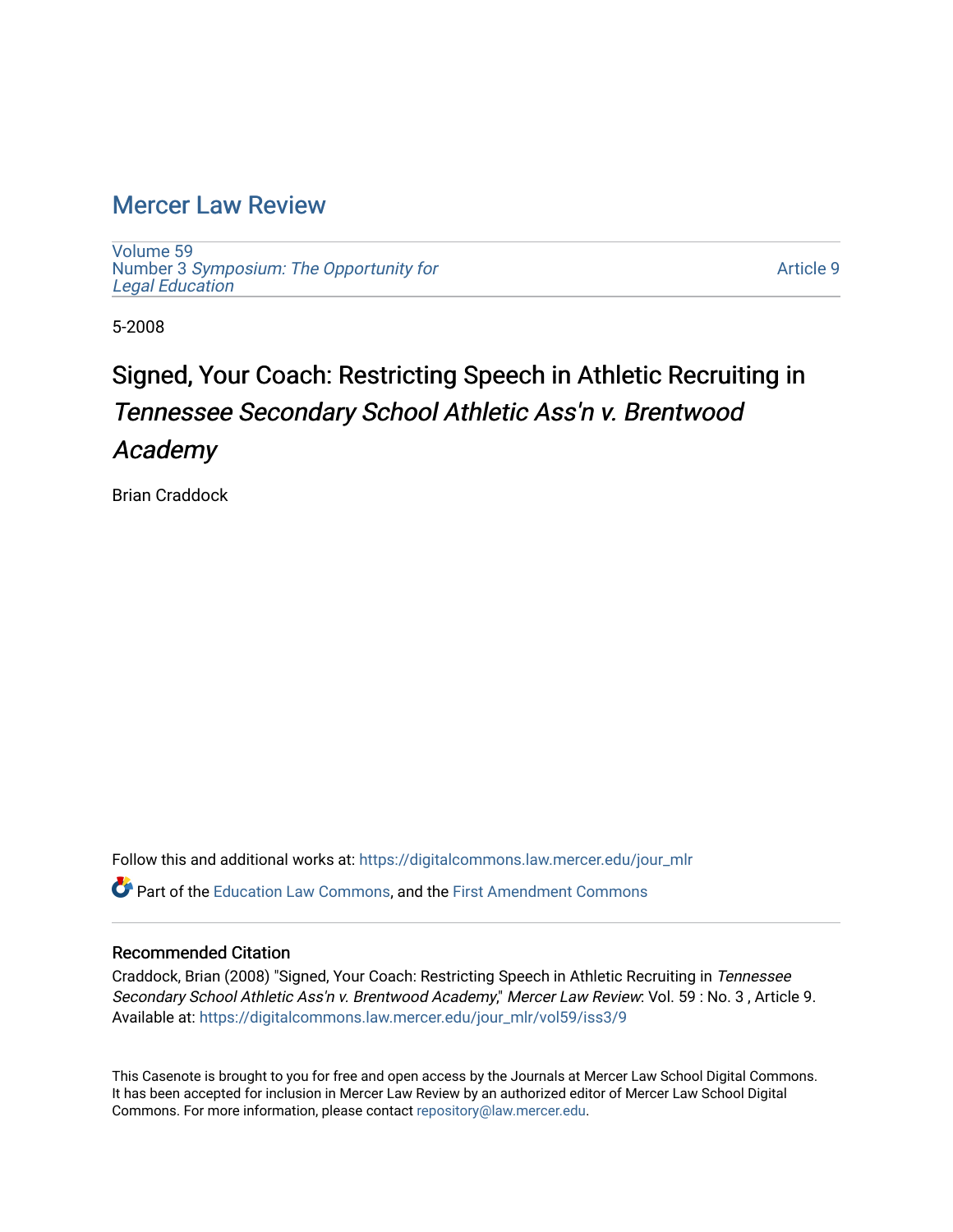## [Mercer Law Review](https://digitalcommons.law.mercer.edu/jour_mlr)

[Volume 59](https://digitalcommons.law.mercer.edu/jour_mlr/vol59) Number 3 [Symposium: The Opportunity for](https://digitalcommons.law.mercer.edu/jour_mlr/vol59/iss3) [Legal Education](https://digitalcommons.law.mercer.edu/jour_mlr/vol59/iss3)

[Article 9](https://digitalcommons.law.mercer.edu/jour_mlr/vol59/iss3/9) 

5-2008

# Signed, Your Coach: Restricting Speech in Athletic Recruiting in Tennessee Secondary School Athletic Ass'n v. Brentwood Academy

Brian Craddock

Follow this and additional works at: [https://digitalcommons.law.mercer.edu/jour\\_mlr](https://digitalcommons.law.mercer.edu/jour_mlr?utm_source=digitalcommons.law.mercer.edu%2Fjour_mlr%2Fvol59%2Fiss3%2F9&utm_medium=PDF&utm_campaign=PDFCoverPages) Part of the [Education Law Commons,](http://network.bepress.com/hgg/discipline/596?utm_source=digitalcommons.law.mercer.edu%2Fjour_mlr%2Fvol59%2Fiss3%2F9&utm_medium=PDF&utm_campaign=PDFCoverPages) and the [First Amendment Commons](http://network.bepress.com/hgg/discipline/1115?utm_source=digitalcommons.law.mercer.edu%2Fjour_mlr%2Fvol59%2Fiss3%2F9&utm_medium=PDF&utm_campaign=PDFCoverPages)

#### Recommended Citation

Craddock, Brian (2008) "Signed, Your Coach: Restricting Speech in Athletic Recruiting in Tennessee Secondary School Athletic Ass'n v. Brentwood Academy," Mercer Law Review: Vol. 59 : No. 3 , Article 9. Available at: [https://digitalcommons.law.mercer.edu/jour\\_mlr/vol59/iss3/9](https://digitalcommons.law.mercer.edu/jour_mlr/vol59/iss3/9?utm_source=digitalcommons.law.mercer.edu%2Fjour_mlr%2Fvol59%2Fiss3%2F9&utm_medium=PDF&utm_campaign=PDFCoverPages)

This Casenote is brought to you for free and open access by the Journals at Mercer Law School Digital Commons. It has been accepted for inclusion in Mercer Law Review by an authorized editor of Mercer Law School Digital Commons. For more information, please contact [repository@law.mercer.edu.](mailto:repository@law.mercer.edu)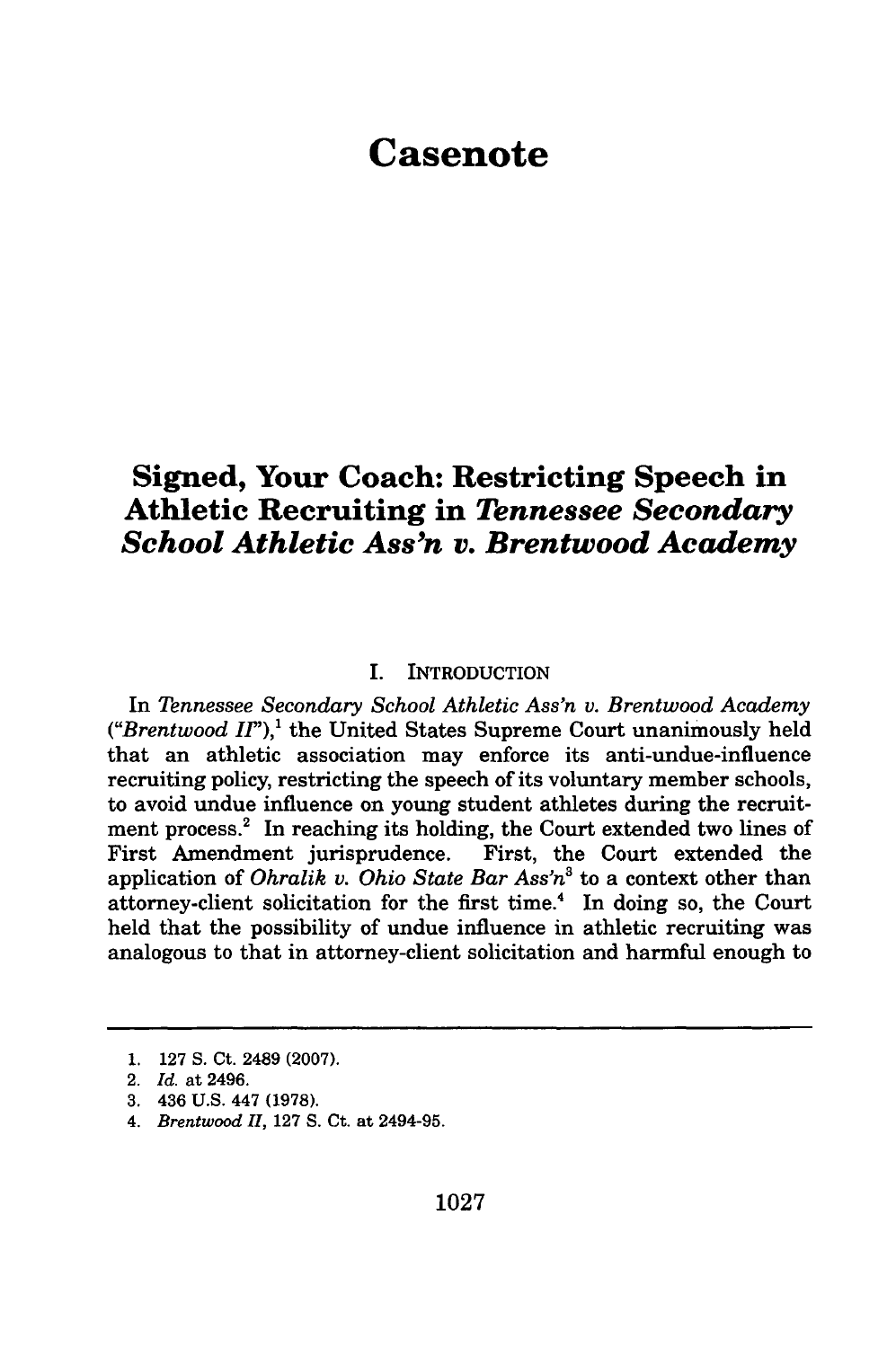## **Casenote**

### **Signed, Your Coach: Restricting Speech in Athletic Recruiting in** *Tennessee Secondary School Athletic Ass'n v. Brentwood Academy*

#### I. INTRODUCTION

In *Tennessee Secondary School Athletic Ass'n v. Brentwood Academy*  $("Brentwood II")$ <sup>1</sup>, the United States Supreme Court unanimously held that an athletic association may enforce its anti-undue-influence recruiting policy, restricting the speech of its voluntary member schools, to avoid undue influence on young student athletes during the recruitment process.<sup>2</sup> In reaching its holding, the Court extended two lines of First Amendment jurisprudence. First, the Court extended the application of *Ohralik v. Ohio State Bar Ass'n3* to a context other than attorney-client solicitation for the first time.<sup>4</sup> In doing so, the Court held that the possibility of undue influence in athletic recruiting was analogous to that in attorney-client solicitation and harmful enough to

**<sup>1. 127</sup> S.** Ct. 2489 **(2007).**

<sup>2.</sup> *Id.* at 2496.

**<sup>3.</sup>** 436 **U.S.** 447 **(1978).**

*<sup>4.</sup> Brentwood II,* **127 S.** Ct. at 2494-95.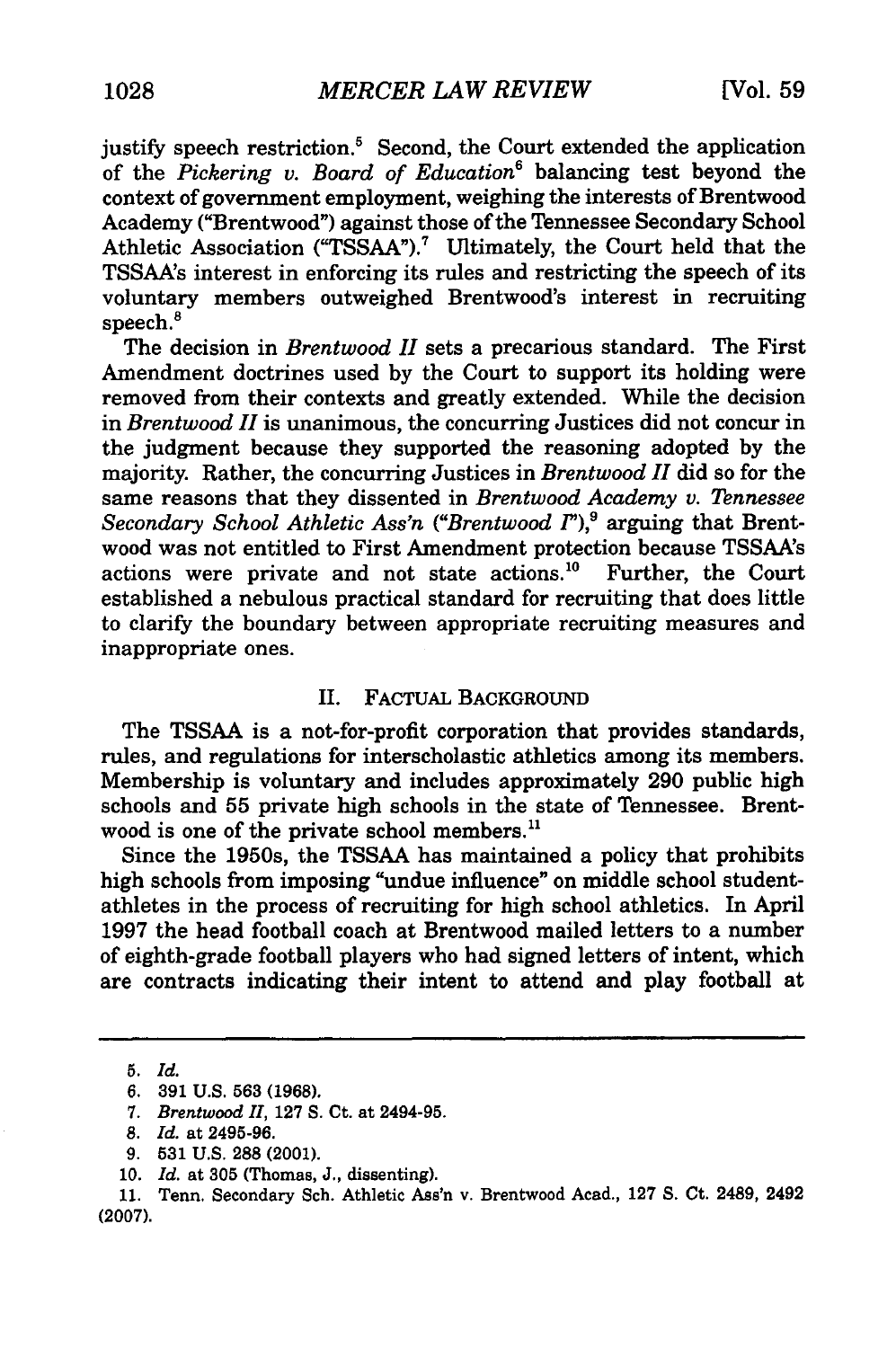justify speech restriction.<sup>5</sup> Second, the Court extended the application of the *Pickering v. Board of Education6* balancing test beyond the context of government employment, weighing the interests of Brentwood Academy ("Brentwood") against those of the Tennessee Secondary School Athletic Association ("TSSAA").<sup>7</sup> Ultimately, the Court held that the TSSAA's interest in enforcing its rules and restricting the speech of its voluntary members outweighed Brentwood's interest in recruiting speech.<sup>8</sup>

The decision in *Brentwood II* sets a precarious standard. The First Amendment doctrines used by the Court to support its holding were removed from their contexts and greatly extended. While the decision in *Brentwood II* is unanimous, the concurring Justices did not concur in the judgment because they supported the reasoning adopted by the majority. Rather, the concurring Justices in *Brentwood II* did so for the same reasons that they dissented in *Brentwood Academy v. Tennessee Secondary School Athletic Ass'n ("Brentwood I"),9* arguing that Brentwood was not entitled to First Amendment protection because TSSAA's actions were private and not state actions.'0 Further, the Court established a nebulous practical standard for recruiting that does little to clarify the boundary between appropriate recruiting measures and inappropriate ones.

#### II. FACTUAL BACKGROUND

The TSSAA is a not-for-profit corporation that provides standards, rules, and regulations for interscholastic athletics among its members. Membership is voluntary and includes approximately **290** public high schools and **55** private high schools in the state of Tennessee. Brentwood is one of the private school members.<sup>11</sup>

Since the 1950s, the TSSAA has maintained a policy that prohibits high schools from imposing "undue influence" on middle school studentathletes in the process of recruiting for high school athletics. In April **1997** the head football coach at Brentwood mailed letters to a number of eighth-grade football players who had signed letters of intent, which are contracts indicating their intent to attend and play football at

<sup>5.</sup> *Id.*

<sup>6. 391</sup> U.S. **563** (1968).

*<sup>7.</sup> Brentwood* H, **127** S. Ct. at 2494-95.

**<sup>8.</sup>** *Id.* at 2495-96.

<sup>9.</sup> **531** U.S. 288 (2001).

<sup>10.</sup> *Id.* at 305 (Thomas, J., dissenting).

<sup>11.</sup> Tenn. Secondary Sch. Athletic Ass'n v. Brentwood Acad., 127 **S.** Ct. 2489, 2492 (2007).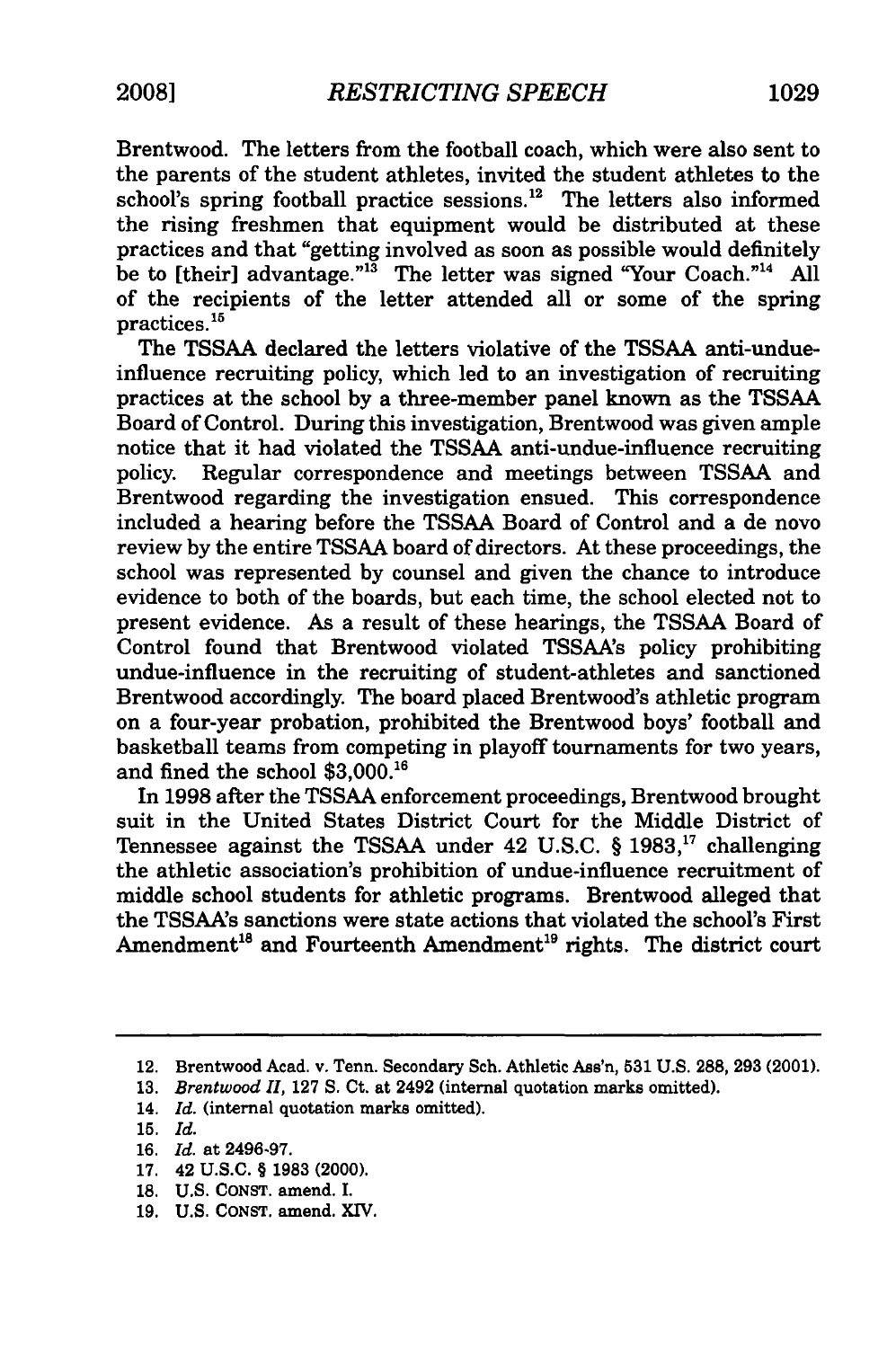Brentwood. The letters from the football coach, which were also sent to the parents of the student athletes, invited the student athletes to the school's spring football practice sessions.<sup>12</sup> The letters also informed the rising freshmen that equipment would be distributed at these practices and that "getting involved as soon as possible would definitely be to [their] advantage." $^{13}$  The letter was signed "Your Coach."<sup>14</sup> All of the recipients of the letter attended all or some of the spring practices.<sup>15</sup>

The **TSSAA** declared the letters violative of the **TSSAA** anti-undueinfluence recruiting policy, which led to an investigation of recruiting practices at the school by a three-member panel known as the TSSAA Board of Control. During this investigation, Brentwood was given ample notice that it had violated the TSSAA anti-undue-influence recruiting policy. Regular correspondence and meetings between TSSAA and Brentwood regarding the investigation ensued. This correspondence included a hearing before the TSSAA Board of Control and a de novo review by the entire TSSAA board of directors. At these proceedings, the school was represented by counsel and given the chance to introduce evidence to both of the boards, but each time, the school elected not to present evidence. As a result of these hearings, the **TSSAA** Board of Control found that Brentwood violated TSSAA's policy prohibiting undue-influence in the recruiting of student-athletes and sanctioned Brentwood accordingly. The board placed Brentwood's athletic program on a four-year probation, prohibited the Brentwood boys' football and basketball teams from competing in playoff tournaments for two years, and fined the school **\$3,000.'6**

In 1998 after the TSSAA enforcement proceedings, Brentwood brought suit in the United States District Court for the Middle District of Tennessee against the TSSAA under 42 U.S.C. § 1983," challenging the athletic association's prohibition of undue-influence recruitment of middle school students for athletic programs. Brentwood alleged that the TSSAA's sanctions were state actions that violated the school's First Amendment<sup>18</sup> and Fourteenth Amendment<sup>19</sup> rights. The district court

- 14. *Id.* (internal quotation marks omitted).
- **15.** *Id.*
- **16.** *Id.* at **2496-97.**
- **17.** 42 **U.S.C.** § **1983** (2000).
- **18. U.S. CONST.** amend. **I.**
- **19. U.S. CONST.** amend. X1V.

<sup>12.</sup> Brentwood Acad. v. Tenn. Secondary Sch. Athletic Ass'n, **531** U.S. **288, 293** (2001).

<sup>13.</sup> *Brentwood 11,* 127 S. Ct. at 2492 (internal quotation marks omitted).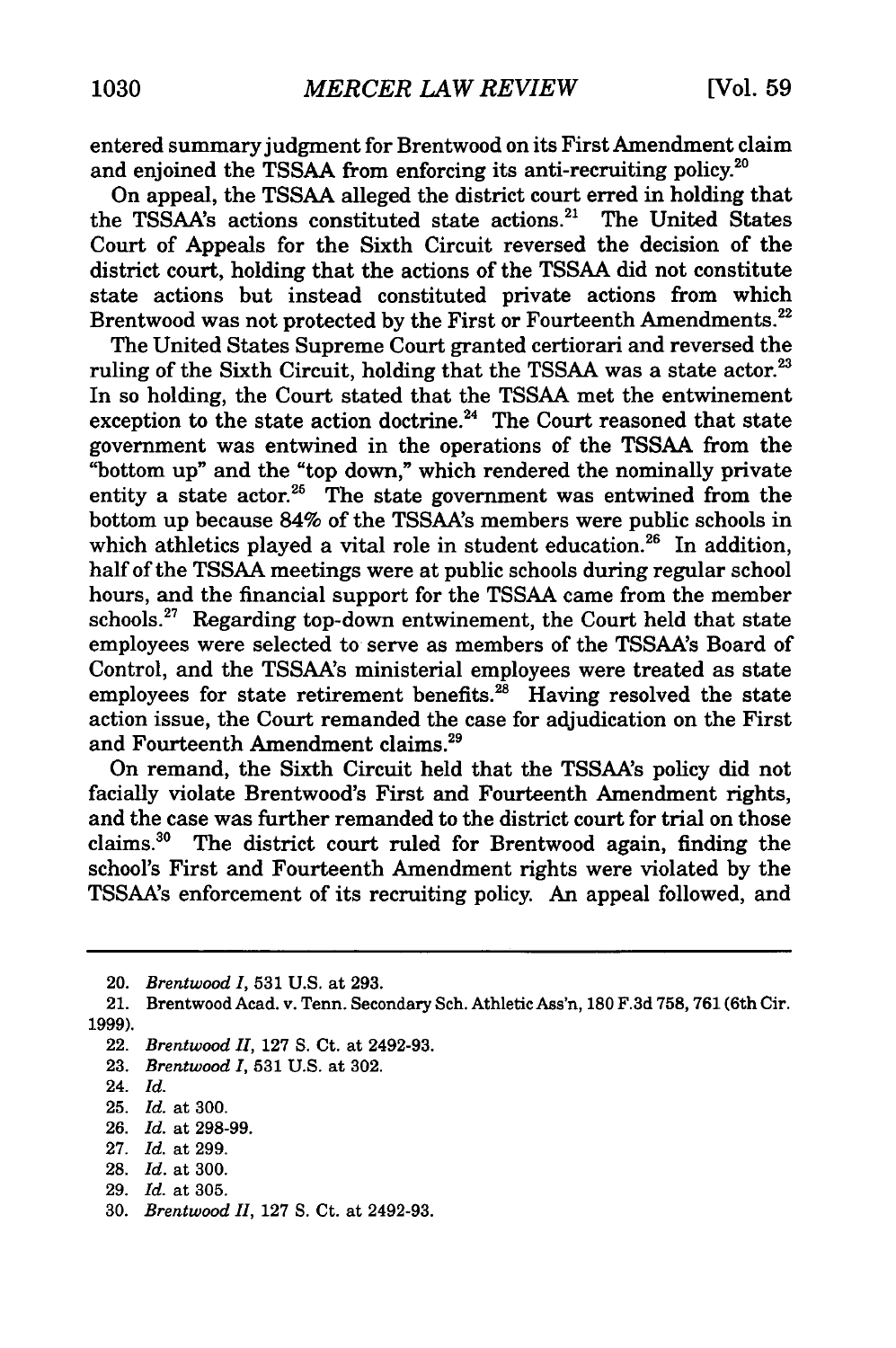entered summaryjudgment for Brentwood on its First Amendment claim and enjoined the TSSAA from enforcing its anti-recruiting policy.<sup>20</sup>

On appeal, the TSSAA alleged the district court erred in holding that the TSSAA's actions constituted state actions.<sup>21</sup> The United States Court of Appeals for the Sixth Circuit reversed the decision of the district court, holding that the actions of the TSSAA did not constitute state actions but instead constituted private actions from which Brentwood was not protected by the First or Fourteenth Amendments.<sup>22</sup>

The United States Supreme Court granted certiorari and reversed the ruling of the Sixth Circuit, holding that the TSSAA was a state actor. $23$ In so holding, the Court stated that the TSSAA met the entwinement exception to the state action doctrine.<sup>24</sup> The Court reasoned that state government was entwined in the operations of the TSSAA from the "bottom up" and the "top down," which rendered the nominally private entity a state actor.<sup>25</sup> The state government was entwined from the bottom up because 84% of the TSSAA's members were public schools in which athletics played a vital role in student education.<sup>26</sup> In addition, half of the TSSAA meetings were at public schools during regular school hours, and the financial support for the TSSAA came from the member schools. $27$  Regarding top-down entwinement, the Court held that state employees were selected to serve as members of the TSSAA's Board of Control, and the TSSAA's ministerial employees were treated as state employees for state retirement benefits. $^{28}$  Having resolved the state action issue, the Court remanded the case for adjudication on the First and Fourteenth Amendment claims.29

On remand, the Sixth Circuit held that the TSSAA's policy did not facially violate Brentwood's First and Fourteenth Amendment rights, and the case was further remanded to the district court for trial on those claims. 30 The district court ruled for Brentwood again, finding the school's First and Fourteenth Amendment rights were violated by the TSSAA's enforcement of its recruiting policy. An appeal followed, and

23. *Brentwood I,* **531** U.S. at 302.

- 26. *Id.* at 298-99.
- 27. *Id.* at 299.
- 28. *Id.* at 300.
- 29. *Id.* at 305.
- 30. *Brentwood 11,* 127 S. Ct. at 2492-93.

<sup>20.</sup> *Brentwood I,* 531 U.S. at 293.

<sup>21.</sup> Brentwood Acad. v. Tenn. Secondary Sch. Athletic Ass'n, 180 F.3d 758, 761 (6th Cir. 1999).

<sup>22.</sup> *Brentwood II,* 127 S. Ct. at 2492-93.

<sup>24.</sup> *Id.*

<sup>25.</sup> *Id.* at 300.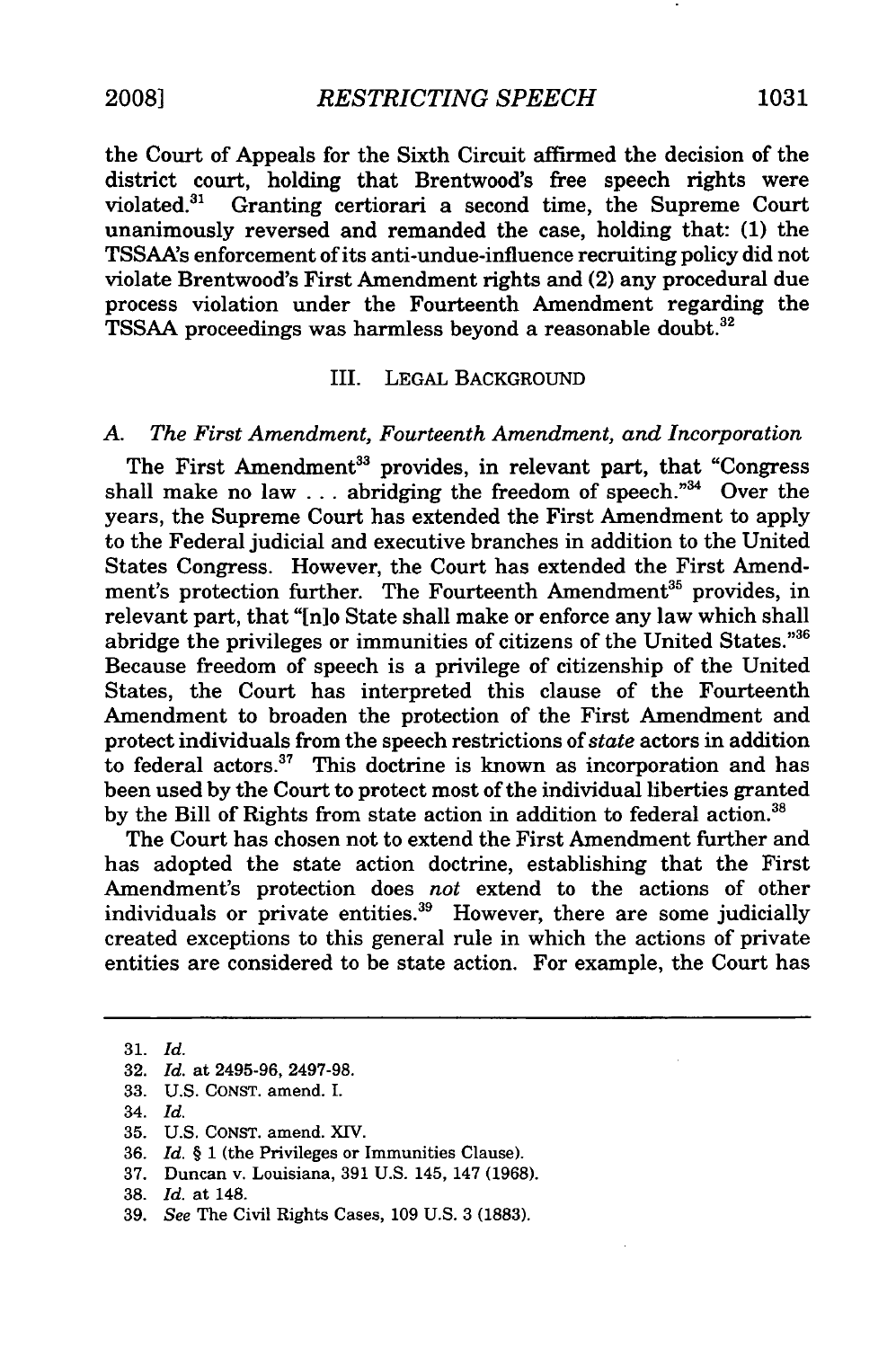the Court of Appeals for the Sixth Circuit affirmed the decision of the district court, holding that Brentwood's free speech rights were violated."' Granting certiorari a second time, the Supreme Court unanimously reversed and remanded the case, holding that: (1) the TSSAA's enforcement of its anti-undue-influence recruiting policy did not violate Brentwood's First Amendment rights and (2) any procedural due process violation under the Fourteenth Amendment regarding the TSSAA proceedings was harmless beyond a reasonable doubt.<sup>32</sup>

#### III. LEGAL BACKGROUND

#### *A. The First Amendment, Fourteenth Amendment, and Incorporation*

The First Amendment<sup>33</sup> provides, in relevant part, that "Congress shall make no law  $\ldots$  abridging the freedom of speech."<sup>34</sup> Over the years, the Supreme Court has extended the First Amendment to apply to the Federal judicial and executive branches in addition to the United States Congress. However, the Court has extended the First Amendment's protection further. The Fourteenth Amendment<sup>35</sup> provides, in relevant part, that "[n]o State shall make or enforce any law which shall abridge the privileges or immunities of citizens of the United States."36 Because freedom of speech is a privilege of citizenship of the United States, the Court has interpreted this clause of the Fourteenth Amendment to broaden the protection of the First Amendment and protect individuals from the speech restrictions *of state* actors in addition to federal actors.<sup>37</sup> This doctrine is known as incorporation and has been used by the Court to protect most of the individual liberties granted by the Bill of Rights from state action in addition to federal action.<sup>38</sup>

The Court has chosen not to extend the First Amendment further and has adopted the state action doctrine, establishing that the First Amendment's protection does *not* extend to the actions of other individuals or private entities. $39$  However, there are some judicially created exceptions to this general rule in which the actions of private entities are considered to be state action. For example, the Court has

33. U.S. CONST. amend. I.

- **35.** U.S. CONST. amend. XIV.
- 36. *Id. §* 1 (the Privileges or Immunities Clause).
- 37. Duncan v. Louisiana, 391 U.S. 145, 147 (1968).
- 38. *Id.* at 148.
- 39. *See* The Civil Rights Cases, 109 U.S. 3 (1883).

<sup>31.</sup> *Id.*

<sup>32.</sup> *Id.* at 2495-96, 2497-98.

<sup>34.</sup> *Id.*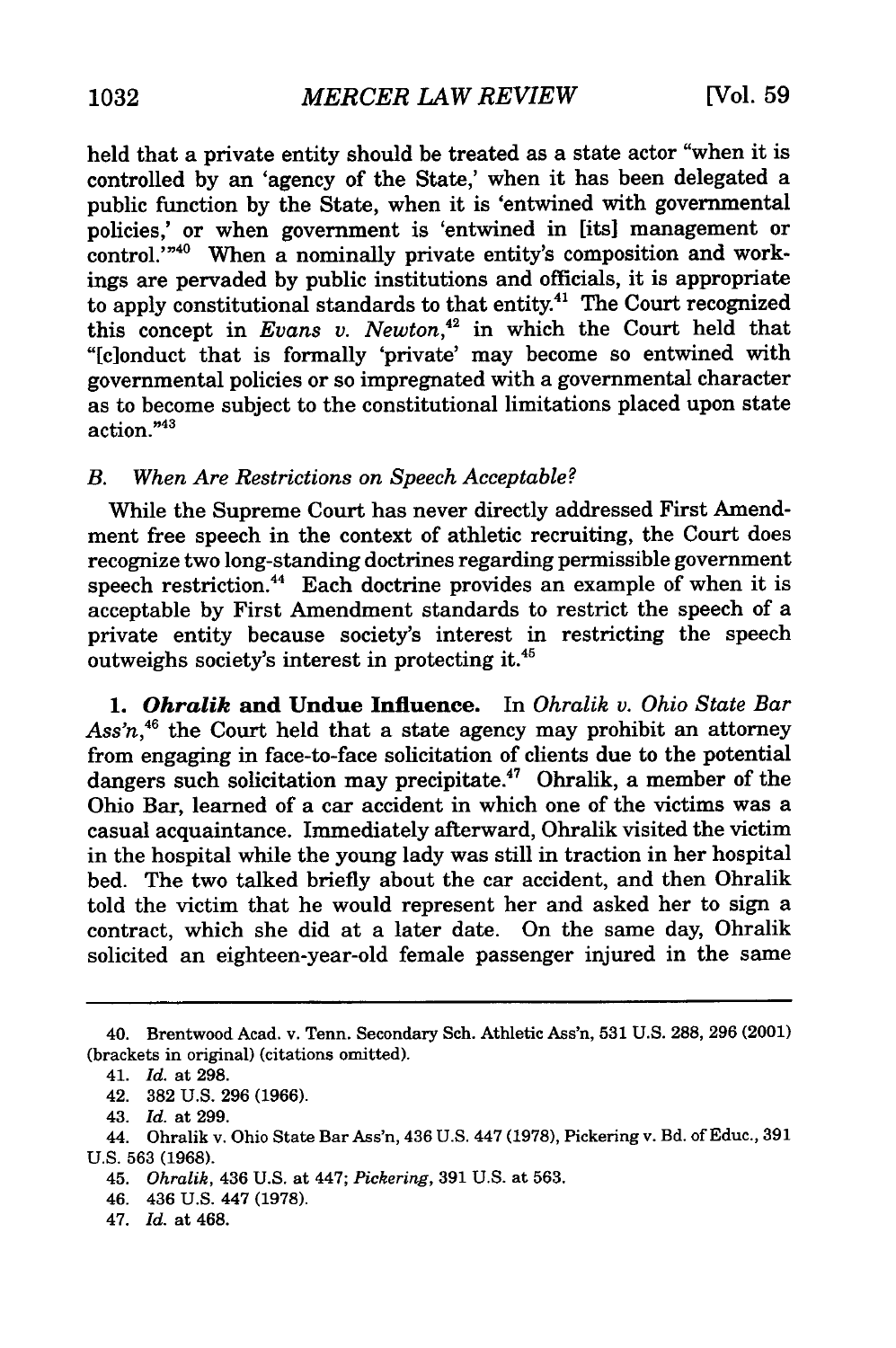held that a private entity should be treated as a state actor "when it is controlled by an 'agency of the State,' when it has been delegated a public function by the State, when it is 'entwined with governmental policies,' or when government is 'entwined in [its] management or control."<sup>40</sup> When a nominally private entity's composition and workings are pervaded by public institutions and officials, it is appropriate to apply constitutional standards to that entity.<sup>41</sup> The Court recognized this concept in *Evans v. Newton,42* in which the Court held that "[c]onduct that is formally 'private' may become so entwined with governmental policies or so impregnated with a governmental character as to become subject to the constitutional limitations placed upon state action."43

#### *B. When Are Restrictions on Speech Acceptable?*

While the Supreme Court has never directly addressed First Amendment free speech in the context of athletic recruiting, the Court does recognize two long-standing doctrines regarding permissible government speech restriction.<sup>44</sup> Each doctrine provides an example of when it is acceptable by First Amendment standards to restrict the speech of a private entity because society's interest in restricting the speech outweighs society's interest in protecting it.<sup>45</sup>

*1. Ohralik* **and Undue Influence.** In *Ohralik v. Ohio State Bar Ass'n,46* the Court held that a state agency may prohibit an attorney from engaging in face-to-face solicitation of clients due to the potential dangers such solicitation may precipitate.<sup>47</sup> Ohralik, a member of the Ohio Bar, learned of a car accident in which one of the victims was a casual acquaintance. Immediately afterward, Ohralik visited the victim in the hospital while the young lady was still in traction in her hospital bed. The two talked briefly about the car accident, and then Ohralik told the victim that he would represent her and asked her to sign a contract, which she did at a later date. On the same day, Ohralik solicited an eighteen-year-old female passenger injured in the same

47. *Id.* at 468.

<sup>40.</sup> Brentwood Acad. v. Tenn. Secondary Sch. Athletic Ass'n, 531 U.S. 288, 296 (2001) (brackets in original) (citations omitted).

<sup>41.</sup> *Id.* at 298.

<sup>42. 382</sup> U.S. 296 (1966).

<sup>43.</sup> *Id.* at 299.

<sup>44.</sup> Ohralik v. Ohio State Bar Ass'n, 436 U.S. 447 (1978), Pickering v. Bd. of Educ., 391 U.S. 563 (1968).

<sup>45.</sup> *Ohralik,* 436 U.S. at 447; *Pickering,* 391 U.S. at 563.

<sup>46. 436</sup> U.S. 447 (1978).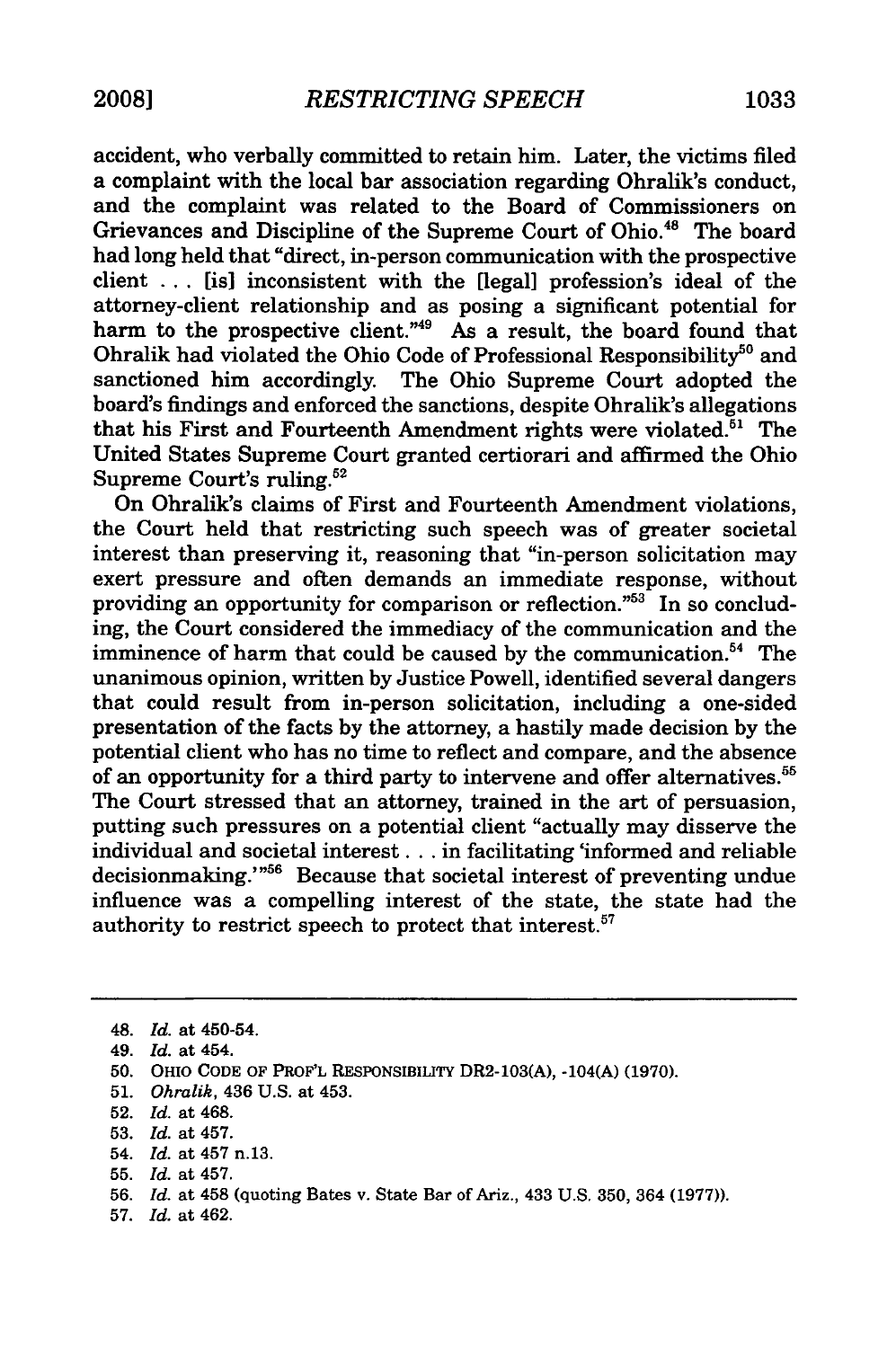accident, who verbally committed to retain him. Later, the victims filed a complaint with the local bar association regarding Ohralik's conduct, and the complaint was related to the Board of Commissioners on Grievances and Discipline of the Supreme Court of Ohio.<sup>48</sup> The board had long held that "direct, in-person communication with the prospective client ... [is] inconsistent with the [legal] profession's ideal of the attorney-client relationship and as posing a significant potential for harm to the prospective client."<sup>49</sup> As a result, the board found that Ohralik had violated the Ohio Code of Professional Responsibility<sup>50</sup> and sanctioned him accordingly. The Ohio Supreme Court adopted the board's findings and enforced the sanctions, despite Ohralik's allegations that his First and Fourteenth Amendment rights were violated.<sup> $51$ </sup> The United States Supreme Court granted certiorari and affirmed the Ohio Supreme Court's ruling.52

On Ohralik's claims of First and Fourteenth Amendment violations, the Court held that restricting such speech was of greater societal interest than preserving it, reasoning that "in-person solicitation may exert pressure and often demands an immediate response, without providing an opportunity for comparison or reflection." $53$  In so concluding, the Court considered the immediacy of the communication and the imminence of harm that could be caused by the communication.<sup>54</sup> The unanimous opinion, written by Justice Powell, identified several dangers that could result from in-person solicitation, including a one-sided presentation of the facts by the attorney, a hastily made decision by the potential client who has no time to reflect and compare, and the absence of an opportunity for a third party to intervene and offer alternatives.<sup>5</sup> The Court stressed that an attorney, trained in the art of persuasion, putting such pressures on a potential client "actually may disserve the individual and societal interest **...** in facilitating 'informed and reliable decisionmaking."<sup>56</sup> Because that societal interest of preventing undue influence was a compelling interest of the state, the state had the authority to restrict speech to protect that interest.<sup>57</sup>

- 54. *Id.* at 457 n.13.
- 55. *Id.* at 457.

57. *Id.* at 462.

<sup>48.</sup> *Id.* at 450-54.

<sup>49.</sup> *Id.* at 454.

<sup>50.</sup> OHIO CODE OF PROF'L RESPONSIBILITY DR2-103(A), -104(A) (1970).

<sup>51.</sup> *Ohralik,* 436 U.S. at 453.

<sup>52.</sup> *Id.* at 468.

<sup>53.</sup> *Id.* at 457.

<sup>56.</sup> *Id.* at 458 (quoting Bates v. State Bar of Ariz., 433 U.S. 350, 364 (1977)).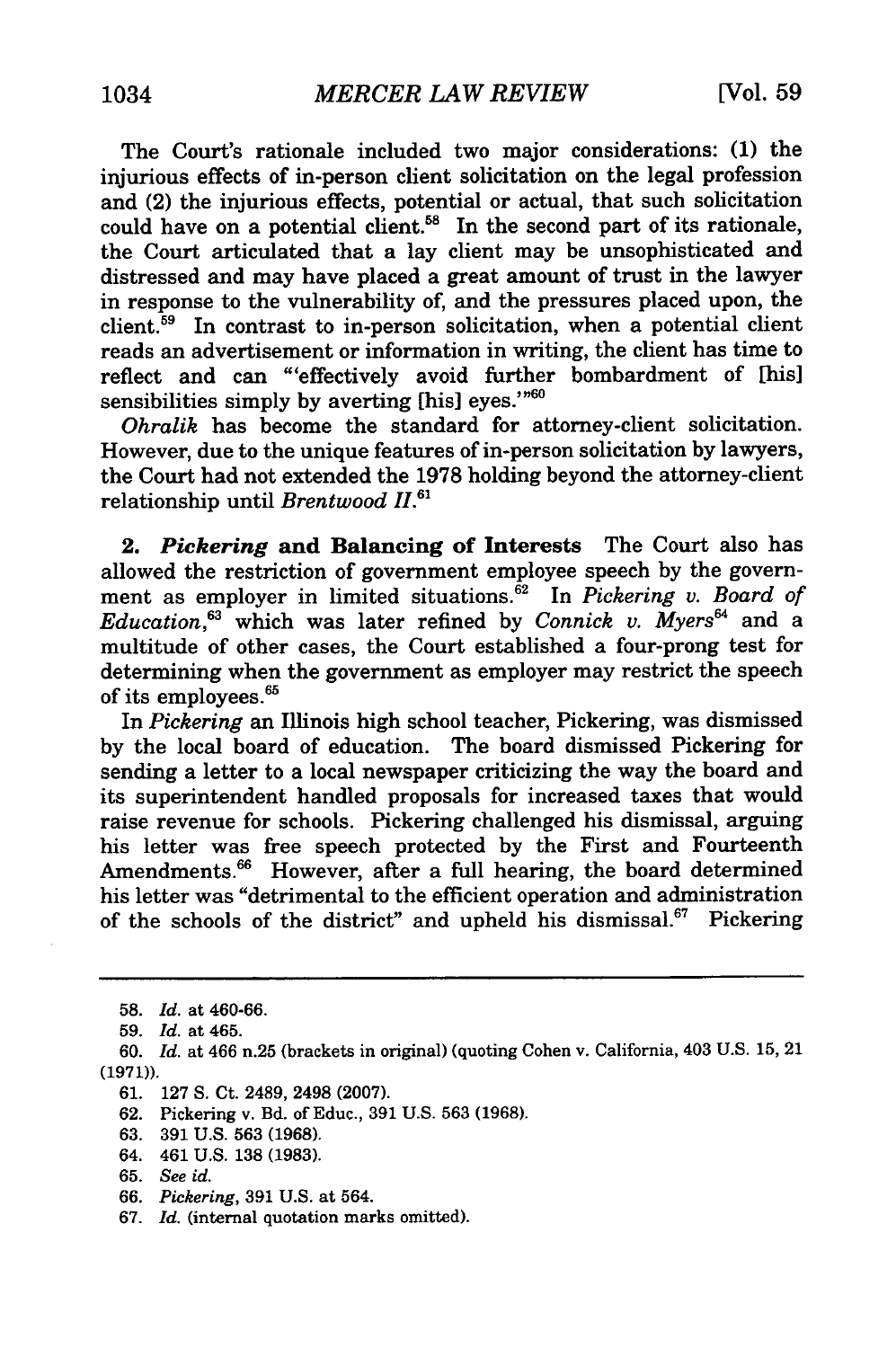The Court's rationale included two major considerations: **(1)** the injurious effects of in-person client solicitation on the legal profession and (2) the injurious effects, potential or actual, that such solicitation could have on a potential client.<sup>58</sup> In the second part of its rationale, the Court articulated that a lay client may be unsophisticated and distressed and may have placed a great amount of trust in the lawyer in response to the vulnerability of, and the pressures placed upon, the client.<sup>59</sup> In contrast to in-person solicitation, when a potential client reads an advertisement or information in writing, the client has time to reflect and can "'effectively avoid further bombardment of [his] sensibilities simply by averting [his] eyes."<sup>60</sup>

*Ohralik* has become the standard for attorney-client solicitation. However, due to the unique features of in-person solicitation by lawyers, the Court had not extended the 1978 holding beyond the attorney-client relationship until *Brentwood* 11.61

*2. Pickering* **and Balancing of Interests** The Court also has allowed the restriction of government employee speech **by** the government as employer in limited situations.<sup>62</sup> In *Pickering v. Board of Education,63* which was later refined **by** *Connick v. Myers'* and a multitude of other cases, the Court established a four-prong test for determining when the government as employer may restrict the speech of its employees.<sup>65</sup>

In *Pickering* an Illinois high school teacher, Pickering, was dismissed by the local board of education. The board dismissed Pickering for sending a letter to a local newspaper criticizing the way the board and its superintendent handled proposals for increased taxes that would raise revenue for schools. Pickering challenged his dismissal, arguing his letter was free speech protected by the First and Fourteenth Amendments.<sup>66</sup> However, after a full hearing, the board determined his letter was "detrimental to the efficient operation and administration of the schools of the district" and upheld his dismissal.<sup>67</sup> Pickering

<sup>58.</sup> *Id.* at 460-66.

<sup>59.</sup> *Id.* at 465.

<sup>60.</sup> *Id.* at 466 n.25 (brackets in original) (quoting Cohen v. California, 403 U.S. 15, 21 (1971)).

<sup>61. 127</sup> S. Ct. 2489, 2498 (2007).

<sup>62.</sup> Pickering v. Bd. of Educ., 391 U.S. 563 (1968).

<sup>63. 391</sup> U.S. 563 (1968).

<sup>64. 461</sup> U.S. **138** (1983).

<sup>65.</sup> *See id.*

<sup>66.</sup> *Pickering,* 391 U.S. at 564.

<sup>67.</sup> *Id.* (internal quotation marks omitted).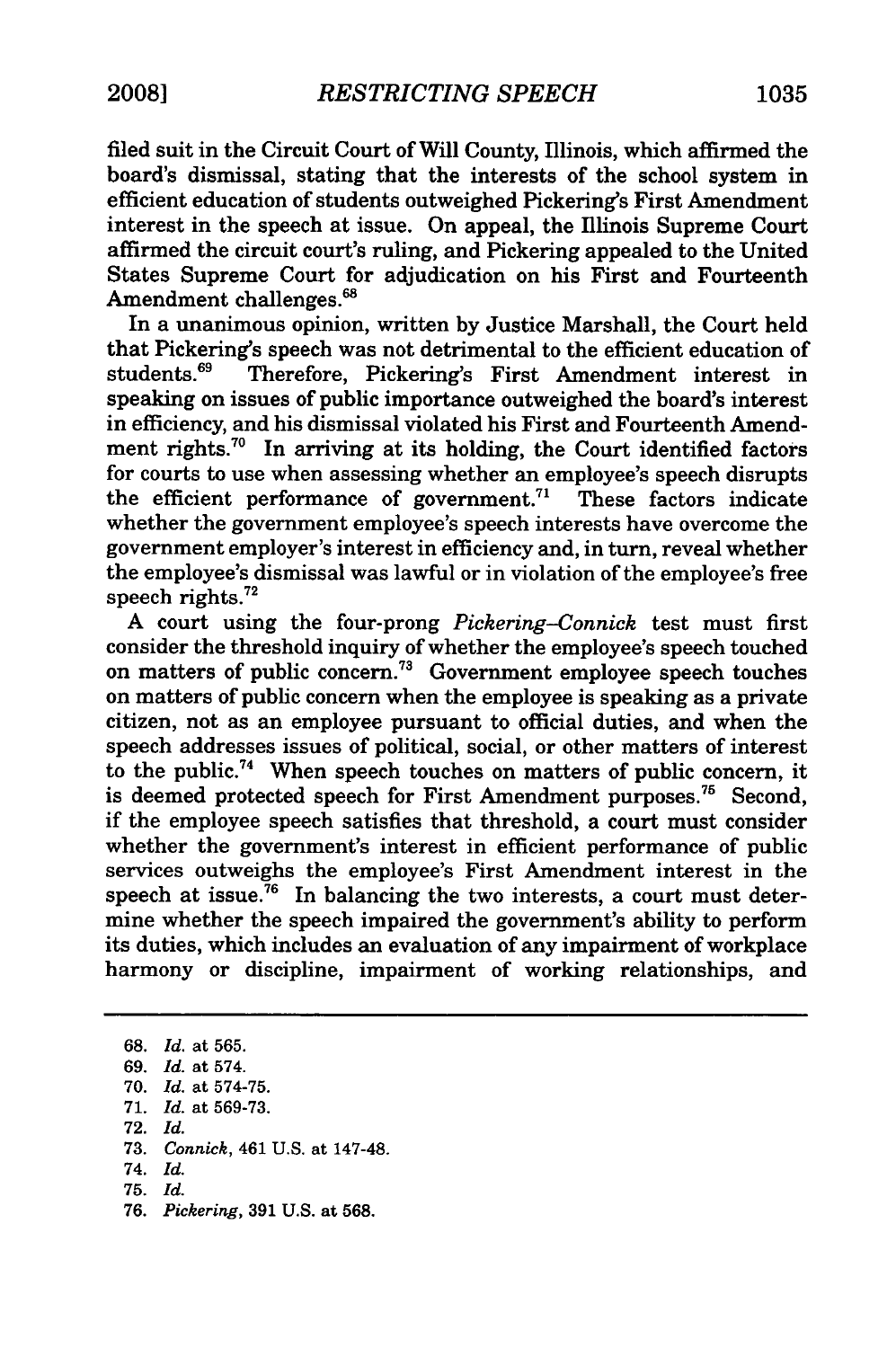filed suit in the Circuit Court of Will County, Illinois, which affirmed the board's dismissal, stating that the interests of the school system in efficient education of students outweighed Pickering's First Amendment interest in the speech at issue. On appeal, the Illinois Supreme Court affirmed the circuit court's ruling, and Pickering appealed to the United States Supreme Court for adjudication on his First and Fourteenth Amendment challenges.<sup>68</sup>

In a unanimous opinion, written **by** Justice Marshall, the Court held that Pickering's speech was not detrimental to the efficient education of students.<sup>69</sup> Therefore, Pickering's First, Amendment, interest, in Therefore, Pickering's First Amendment interest in speaking on issues of public importance outweighed the board's interest in efficiency, and his dismissal violated his First and Fourteenth Amendment rights.<sup>70</sup> In arriving at its holding, the Court identified factors for courts to use when assessing whether an employee's speech disrupts the efficient performance of government.<sup>71</sup> These factors indicate whether the government employee's speech interests have overcome the government employer's interest in efficiency and, in turn, reveal whether the employee's dismissal was lawful or in violation of the employee's free speech rights. $72$ 

A court using the four-prong *Pickering-Connick* test must first consider the threshold inquiry of whether the employee's speech touched on matters of public concern.<sup>73</sup> Government employee speech touches on matters of public concern when the employee is speaking as a private citizen, not as an employee pursuant to official duties, and when the speech addresses issues of political, social, or other matters of interest to the public.<sup>74</sup> When speech touches on matters of public concern, it is deemed protected speech for First Amendment purposes.<sup>75</sup> Second, if the employee speech satisfies that threshold, a court must consider whether the government's interest in efficient performance of public services outweighs the employee's First Amendment interest in the speech at issue.<sup>76</sup> In balancing the two interests, a court must determine whether the speech impaired the government's ability to perform its duties, which includes an evaluation of any impairment of workplace harmony or discipline, impairment of working relationships, and

68. *Id.* at 565. 69. *Id.* at 574. 70. *Id.* at 574-75. 71. *Id.* at 569-73. 72. *Id.* 73. *Connick,* 461 U.S. at 147-48. 74. *Id.* 75. *Id.* 76. *Pickering,* 391 U.S. at 568.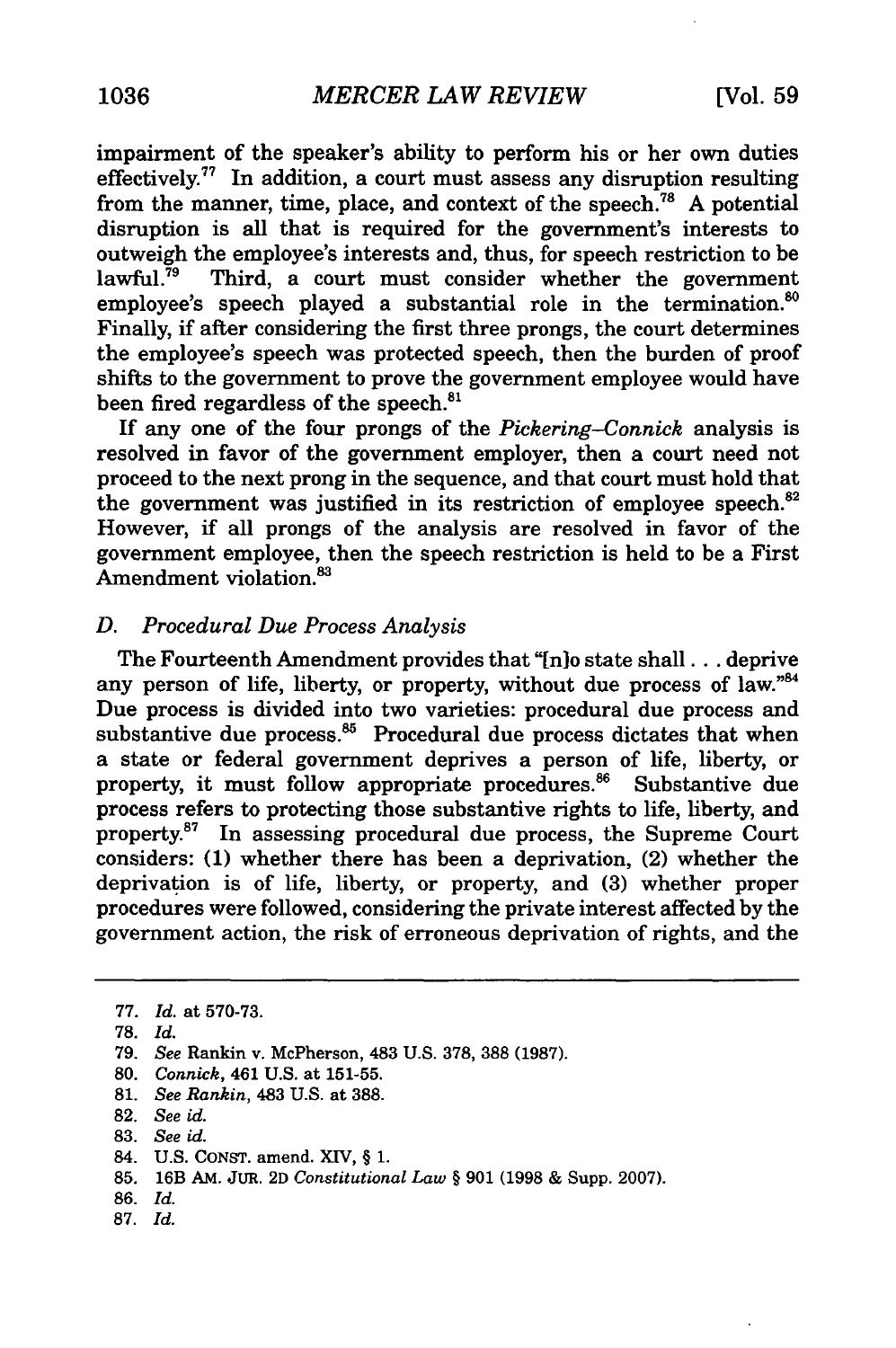impairment of the speaker's ability to perform his or her own duties effectively.<sup>77</sup> In addition, a court must assess any disruption resulting from the manner, time, place, and context of the speech.<sup>78</sup> A potential disruption is all that is required for the government's interests to outweigh the employee's interests and, thus, for speech restriction to be lawful. $^{79}$  Third, a court must consider whether the government employee's speech played a substantial role in the termination.<sup>80</sup> Finally, if after considering the first three prongs, the court determines the employee's speech was protected speech, then the burden of proof shifts to the government to prove the government employee would have been fired regardless of the speech. $81$ 

If any one of the four prongs of the *Pickering-Connick* analysis is resolved in favor of the government employer, then a court need not proceed to the next prong in the sequence, and that court must hold that the government was justified in its restriction of employee speech.<sup>82</sup> However, if all prongs of the analysis are resolved in favor of the government employee, then the speech restriction is held to be a First Amendment violation.<sup>83</sup>

#### *D. Procedural Due Process Analysis*

The Fourteenth Amendment provides that "[n]o state shall... deprive any person of life, liberty, or property, without due process of law."84 Due process is divided into two varieties: procedural due process and substantive due process. $86$  Procedural due process dictates that when a state or federal government deprives a person of life, liberty, or property, it must follow appropriate procedures.<sup>86</sup> Substantive due process refers to protecting those substantive rights to life, liberty, and property.<sup>87</sup> In assessing procedural due process, the Supreme Court considers: **(1)** whether there has been a deprivation, (2) whether the deprivation is of life, liberty, or property, and **(3)** whether proper procedures were followed, considering the private interest affected by the government action, the risk of erroneous deprivation of rights, and the

**87.** *Id.*

<sup>77.</sup> *Id.* at 570-73.

**<sup>78.</sup>** *Id.*

**<sup>79.</sup>** *See* Rankin v. McPherson, 483 **U.S. 378, 388 (1987).**

**<sup>80.</sup>** *Connick,* 461 **U.S.** at **151-55.**

**<sup>81.</sup>** *See Rankin,* 483 **U.S.** at **388.**

**<sup>82.</sup>** *See id.*

<sup>83.</sup> *See id.*

<sup>84.</sup> U.S. CONST. amend. XIV, § 1.

<sup>85. 16</sup>B AM. JUR. 2D *Constitutional Law §* 901 (1998 & Supp. 2007).

<sup>86.</sup> *Id.*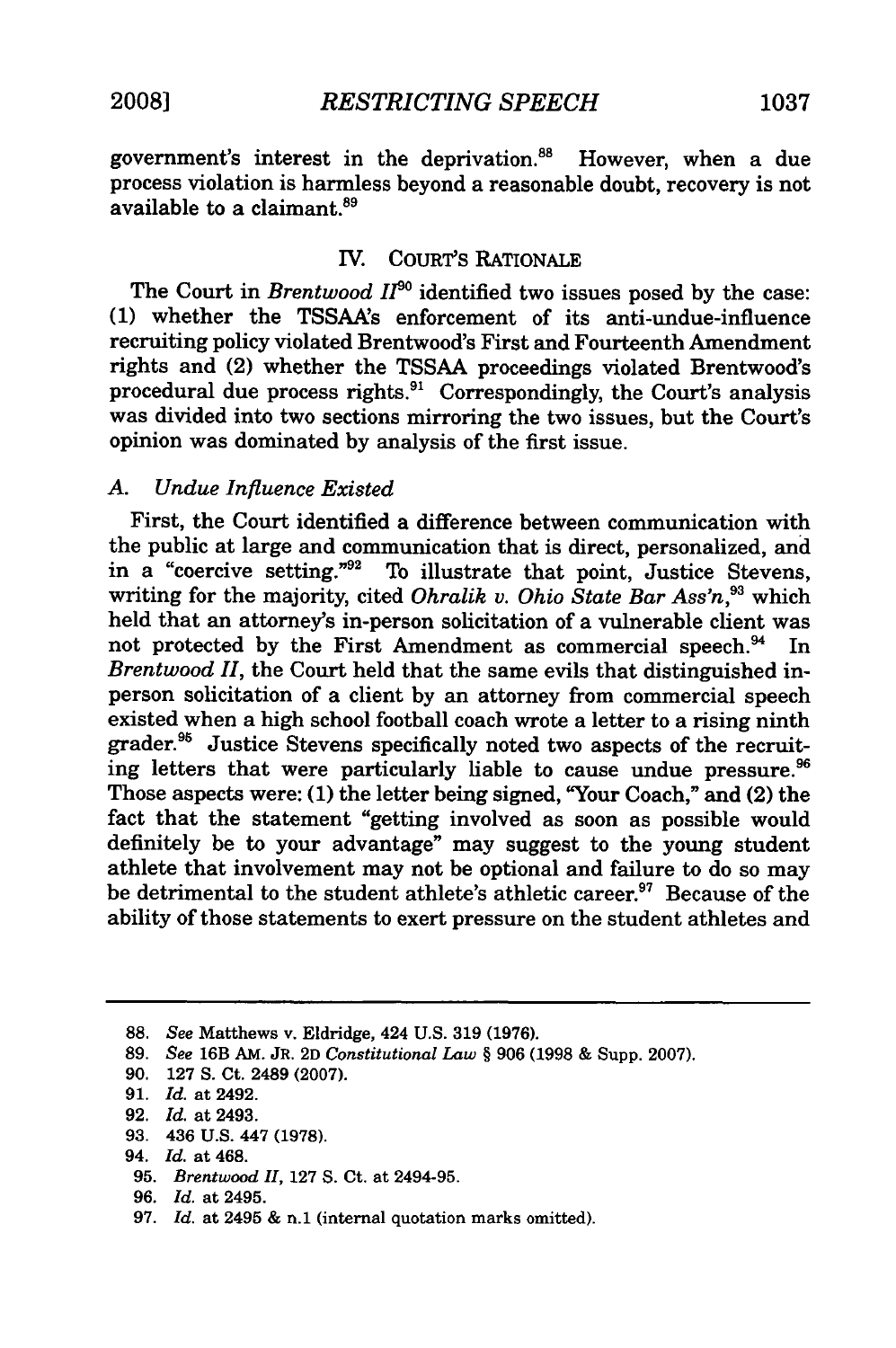government's interest in the deprivation.<sup>88</sup> However, when a due process violation is harmless beyond a reasonable doubt, recovery is not available to a claimant.<sup>89</sup>

#### IV. COURT'S RATIONALE

The Court in *Brentwood 1190* identified two issues posed by the case: (1) whether the TSSAA's enforcement of its anti-undue-influence recruiting policy violated Brentwood's First and Fourteenth Amendment rights and (2) whether the TSSAA proceedings violated Brentwood's procedural due process rights.<sup>91</sup> Correspondingly, the Court's analysis was divided into two sections mirroring the two issues, but the Court's opinion was dominated by analysis of the first issue.

#### *A. Undue Influence Existed*

First, the Court identified a difference between communication with the public at large and communication that is direct, personalized, and in a "coercive setting."<sup>92</sup> To illustrate that point, Justice Stevens, writing for the majority, cited *Ohralik v. Ohio State Bar Ass'n,93* which held that an attorney's in-person solicitation of a vulnerable client was not protected by the First Amendment as commercial speech.<sup>94</sup> In *Brentwood 11,* the Court held that the same evils that distinguished inperson solicitation of a client by an attorney from commercial speech existed when a high school football coach wrote a letter to a rising ninth grader.<sup>95</sup> Justice Stevens specifically noted two aspects of the recruiting letters that were particularly liable to cause undue pressure.<sup>96</sup> Those aspects were: (1) the letter being signed, "Your Coach," and (2) the fact that the statement "getting involved as soon as possible would definitely be to your advantage" may suggest to the young student athlete that involvement may not be optional and failure to do so may be detrimental to the student athlete's athletic career.<sup>97</sup> Because of the ability of those statements to exert pressure on the student athletes and

**93.** 436 **U.S.** 447 **(1978).**

<sup>88.</sup> *See* Matthews v. Eldridge, 424 U.S. 319 (1976).

**<sup>89.</sup>** *See* 16B **AM. JR. 2D** *Constitutional Law §* 906 (1998 & Supp. 2007).

**<sup>90. 127</sup> S. Ct.** 2489 **(2007).**

**<sup>91.</sup>** *Id.* at 2492.

**<sup>92.</sup>** *Id.* at 2493.

<sup>94.</sup> *Id.* at 468.

**<sup>95.</sup>** *Brentwood II,* 127 S. Ct. at 2494-95.

**<sup>96.</sup>** *Id.* at 2495.

<sup>97.</sup> *Id.* at 2495 & n.1 (internal quotation marks omitted).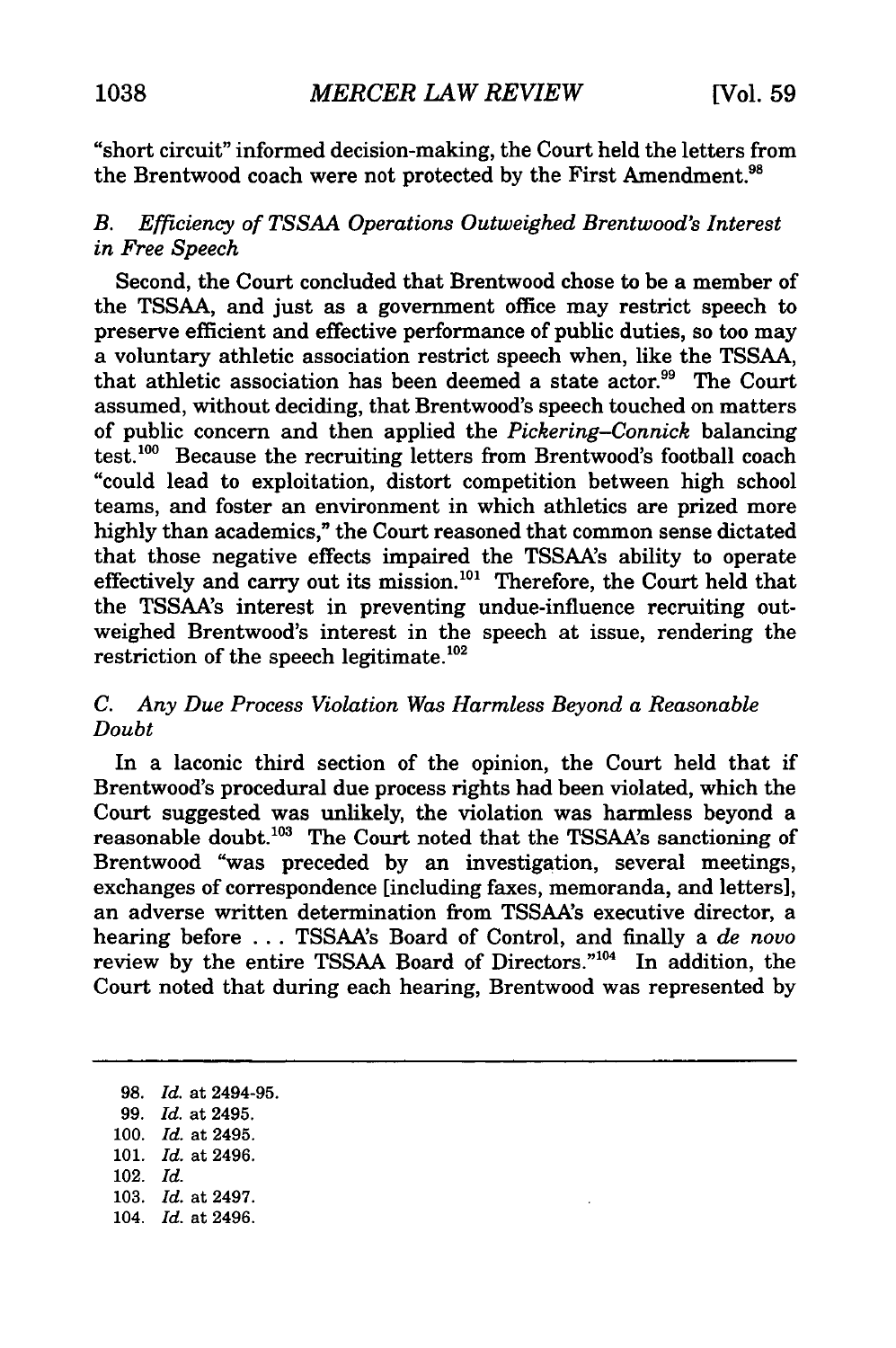"short circuit" informed decision-making, the Court held the letters from the Brentwood coach were not protected by the First Amendment.<sup>98</sup>

#### *B. Efficiency of TSSAA Operations Outweighed Brentwood's Interest in Free Speech*

Second, the Court concluded that Brentwood chose to be a member of the TSSAA, and just as a government office may restrict speech to preserve efficient and effective performance of public duties, so too may a voluntary athletic association restrict speech when, like the TSSAA, that athletic association has been deemed a state actor.<sup>99</sup> The Court assumed, without deciding, that Brentwood's speech touched on matters of public concern and then applied the *Pickering-Connick* balancing test.100 Because the recruiting letters from Brentwood's football coach "could lead to exploitation, distort competition between high school teams, and foster an environment in which athletics are prized more highly than academics," the Court reasoned that common sense dictated that those negative effects impaired the TSSAA's ability to operate effectively and carry out its mission.<sup>101</sup> Therefore, the Court held that the TSSAA's interest in preventing undue-influence recruiting outweighed Brentwood's interest in the speech at issue, rendering the restriction of the speech legitimate.<sup>102</sup>

#### *C. Any Due Process Violation Was Harmless Beyond a Reasonable Doubt*

In a laconic third section of the opinion, the Court held that if Brentwood's procedural due process rights had been violated, which the Court suggested was unlikely, the violation was harmless beyond a reasonable doubt.<sup>103</sup> The Court noted that the TSSAA's sanctioning of Brentwood "was preceded by an investigation, several meetings, exchanges of correspondence [including faxes, memoranda, and letters], an adverse written determination from TSSAA's executive director, a hearing before ... TSSAA's Board of Control, and finally a *de novo* review by the entire TSSAA Board of Directors."<sup>104</sup> In addition, the Court noted that during each hearing, Brentwood was represented by

98. *Id.* at 2494-95. 99. *Id.* at 2495. 100. *Id.* at 2495. 101. *Id.* at 2496. 102. *Id.* 103. *Id.* at 2497. 104. *Id.* at 2496.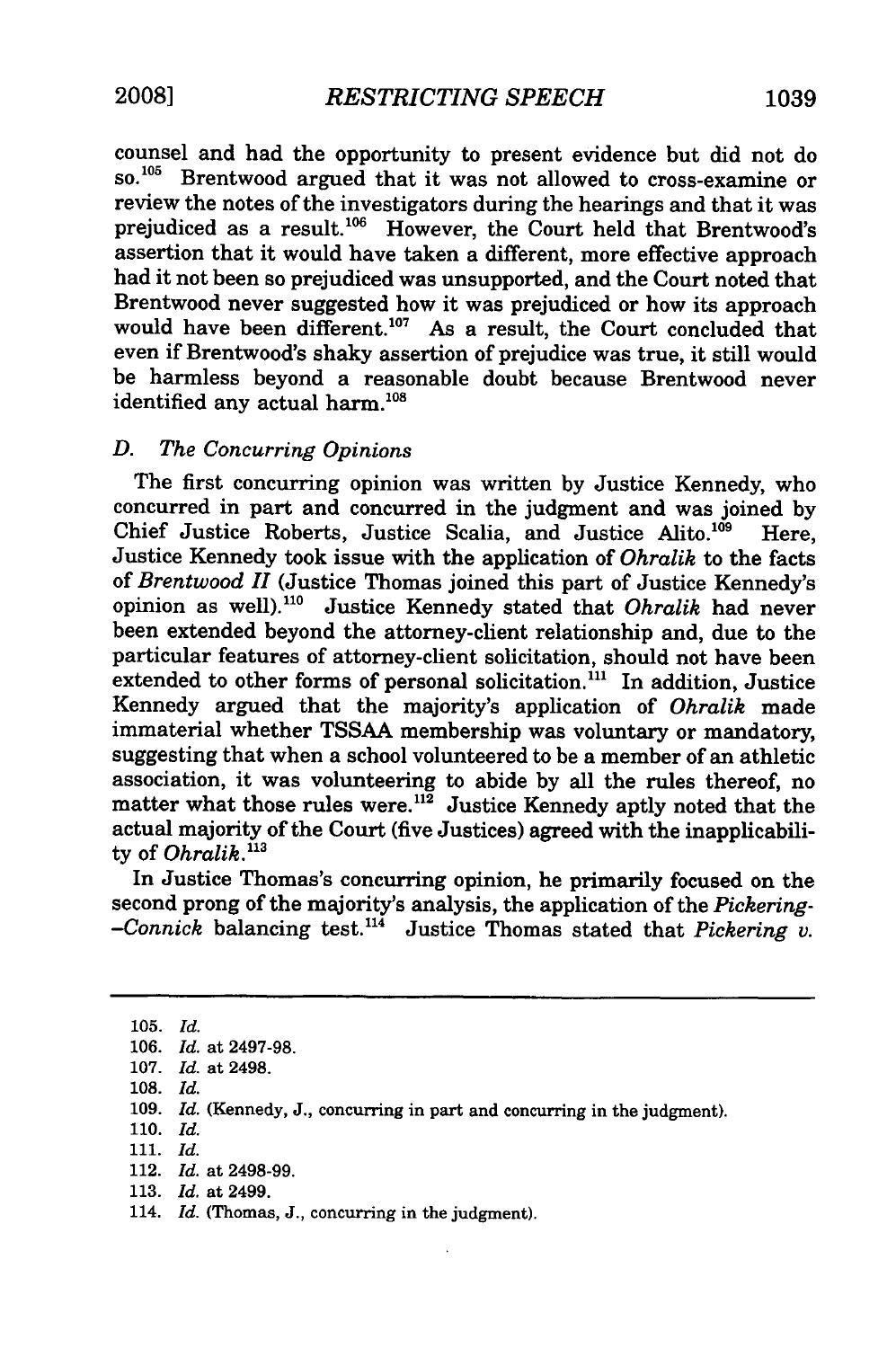counsel and had the opportunity to present evidence but did not do so.<sup>105</sup> Brentwood argued that it was not allowed to cross-examine or review the notes of the investigators during the hearings and that it was prejudiced as a result.<sup>106</sup> However, the Court held that Brentwood's assertion that it would have taken a different, more effective approach had it not been so prejudiced was unsupported, and the Court noted that Brentwood never suggested how it was prejudiced or how its approach would have been different.<sup>107</sup> As a result, the Court concluded that even if Brentwood's shaky assertion of prejudice was true, it still would be harmless beyond a reasonable doubt because Brentwood never identified any actual harm.<sup>108</sup>

#### *D. The Concurring Opinions*

The first concurring opinion was written by Justice Kennedy, who concurred in part and concurred in the judgment and was joined by Chief Justice Roberts, Justice Scalia, and Justice Alito.<sup>109</sup> Here, Justice Kennedy took issue with the application of *Ohralik* to the facts of *Brentwood II* (Justice Thomas joined this part of Justice Kennedy's opinion as well).<sup>110</sup> Justice Kennedy stated that *Ohralik* had never been extended beyond the attorney-client relationship and, due to the particular features of attorney-client solicitation, should not have been extended to other forms of personal solicitation.<sup>111</sup> In addition, Justice Kennedy argued that the majority's application of *Ohralik* made immaterial whether TSSAA membership was voluntary or mandatory, suggesting that when a school volunteered to be a member of an athletic association, it was volunteering to abide by all the rules thereof, no matter what those rules were.<sup>112</sup> Justice Kennedy aptly noted that the actual majority of the Court (five Justices) agreed with the inapplicability of *Ohralik."3*

In Justice Thomas's concurring opinion, he primarily focused on the second prong of the majority's analysis, the application of the *Pickering- -Connick* balancing test."4 Justice Thomas stated that *Pickering v.*

105. *Id.* 106. *Id.* at 2497-98. 107. *Id.* at 2498. 108. *Id.* 109. *Id.* (Kennedy, J., concurring in part and concurring in the judgment). 110. *Id.* 111. *Id.* 112. *Id.* at 2498-99. 113. *Id.* at 2499. 114. *Id.* (Thomas, J., concurring in the judgment).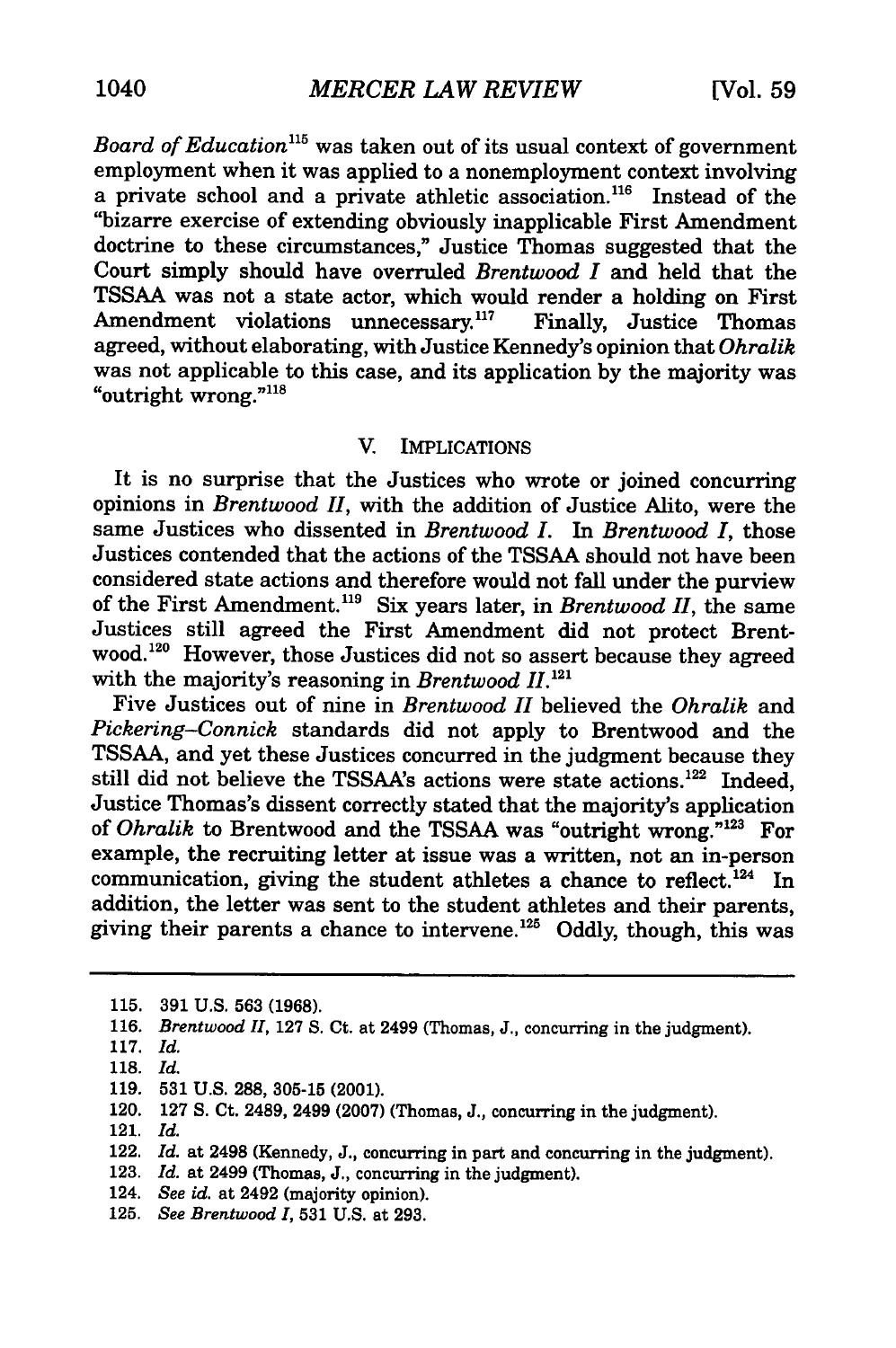*Board of Education"5* was taken out of its usual context of government employment when it was applied to a nonemployment context involving a private school and a private athletic association.<sup>116</sup> Instead of the "bizarre exercise of extending obviously inapplicable First Amendment doctrine to these circumstances," Justice Thomas suggested that the Court simply should have overruled *Brentwood I* and held that the TSSAA was not a state actor, which would render a holding on First Amendment violations unnecessary.<sup>117</sup> Finally, Justice Thomas agreed, without elaborating, with Justice Kennedy's opinion that *Ohralik* was not applicable to this case, and its application by the majority was "outright wrong." $118$ 

#### V. IMPLICATIONS

It is no surprise that the Justices who wrote or joined concurring opinions in *Brentwood II,* with the addition of Justice Alito, were the same Justices who dissented in *Brentwood I. In Brentwood I,* those Justices contended that the actions of the TSSAA should not have been considered state actions and therefore would not fall under the purview of the First Amendment.<sup>119</sup> Six years later, in *Brentwood II*, the same Justices still agreed the First Amendment did not protect Brentwood.<sup>120</sup> However, those Justices did not so assert because they agreed with the majority's reasoning in *Brentwood II*.<sup>121</sup>

Five Justices out of nine in *Brentwood II* believed the *Ohralik* and *Pickering-Connick* standards did not apply to Brentwood and the TSSAA, and yet these Justices concurred in the judgment because they still did not believe the TSSAA's actions were state actions.<sup>122</sup> Indeed, Justice Thomas's dissent correctly stated that the majority's application of *Ohralik* to Brentwood and the **TSSAA** was "outright wrong." 123 For example, the recruiting letter at issue was a written, not an in-person communication, giving the student athletes a chance to reflect.<sup>124</sup> In addition, the letter was sent to the student athletes and their parents, giving their parents a chance to intervene.<sup>125</sup> Oddly, though, this was

119. **531** U.S. 288, **305-15** (2001).

121. *Id.*

124. *See id.* at 2492 (majority opinion).

**<sup>115. 391</sup> U.S. 563 (1968).**

**<sup>116.</sup>** *Brentwood II,* **127 S.** Ct. at 2499 (Thomas, **J.,** concurring in the judgment).

<sup>117.</sup> *Id.*

**<sup>118.</sup>** *Id.*

<sup>120. 127</sup> **S.** Ct. 2489, 2499 (2007) (Thomas, J., concurring in the judgment).

<sup>122.</sup> *Id.* at 2498 (Kennedy, J., concurring in part and concurring in the judgment).

<sup>123.</sup> *Id.* at 2499 (Thomas, J., concurring in the judgment).

<sup>125.</sup> *See Brentwood I,* **531** U.S. at 293.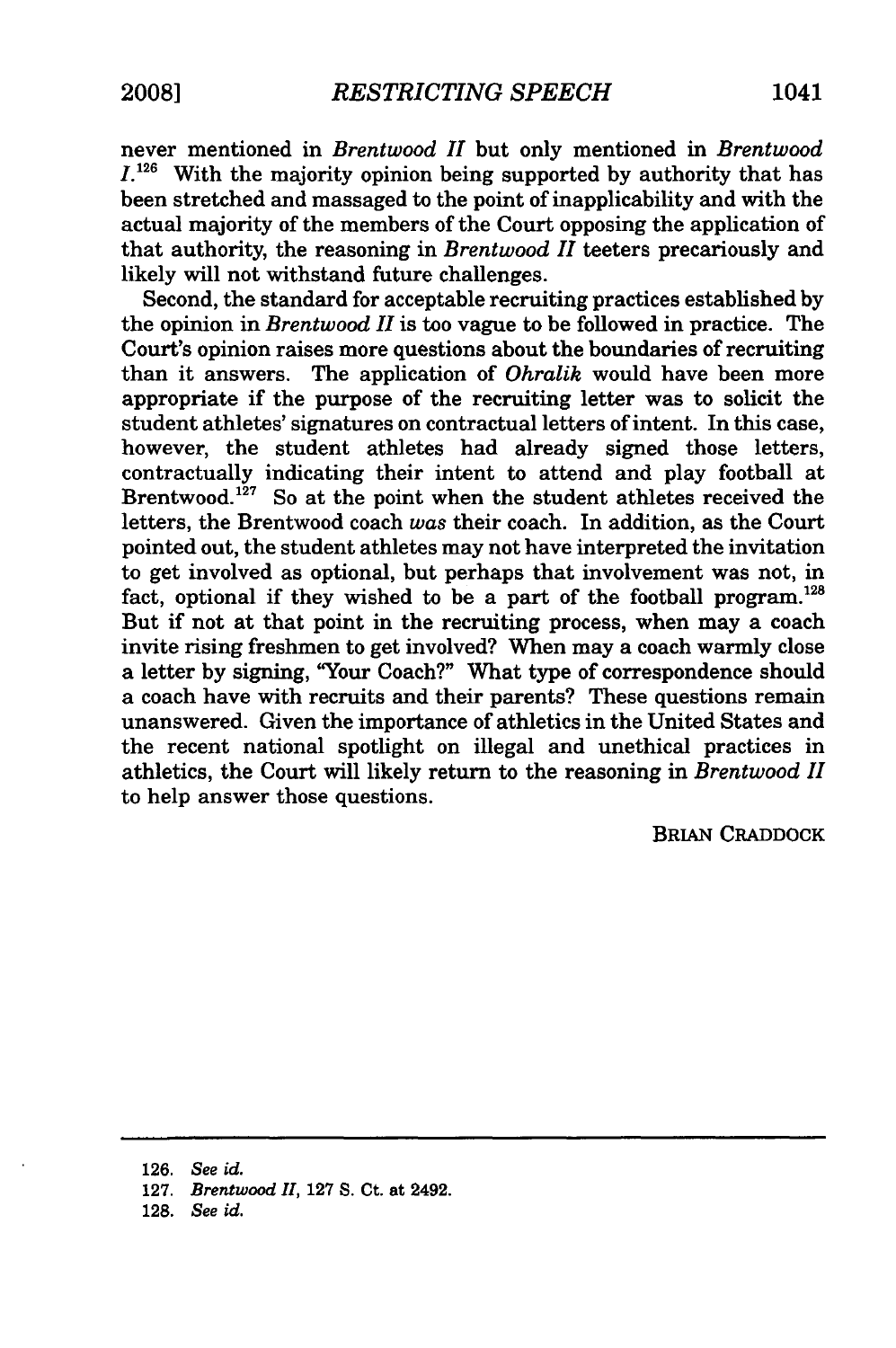never mentioned in *Brentwood II* but only mentioned in *Brentwood*  $I^{126}$  With the majority opinion being supported by authority that has been stretched and massaged to the point of inapplicability and with the actual majority of the members of the Court opposing the application of that authority, the reasoning in *Brentwood II* teeters precariously and likely will not withstand future challenges.

Second, the standard for acceptable recruiting practices established by the opinion in *Brentwood II* is too vague to be followed in practice. The Court's opinion raises more questions about the boundaries of recruiting than it answers. The application of *Ohralik* would have been more appropriate if the purpose of the recruiting letter was to solicit the student athletes' signatures on contractual letters of intent. In this case, however, the student athletes had already signed those letters, contractually indicating their intent to attend and play football at Brentwood.<sup>127</sup> So at the point when the student athletes received the letters, the Brentwood coach *was* their coach. In addition, as the Court pointed out, the student athletes may not have interpreted the invitation to get involved as optional, but perhaps that involvement was not, in fact, optional if they wished to be a part of the football program.<sup>128</sup> But if not at that point in the recruiting process, when may a coach invite rising freshmen to get involved? When may a coach warmly close a letter by signing, "Your Coach?" What type of correspondence should a coach have with recruits and their parents? These questions remain unanswered. Given the importance of athletics in the United States and the recent national spotlight on illegal and unethical practices in athletics, the Court will likely return to the reasoning in *Brentwood II* to help answer those questions.

BRIAN CRADDOCK

**126.** *See id.*

127. *Brentwood II,* **127** S. Ct. at 2492.

128. *See id.*